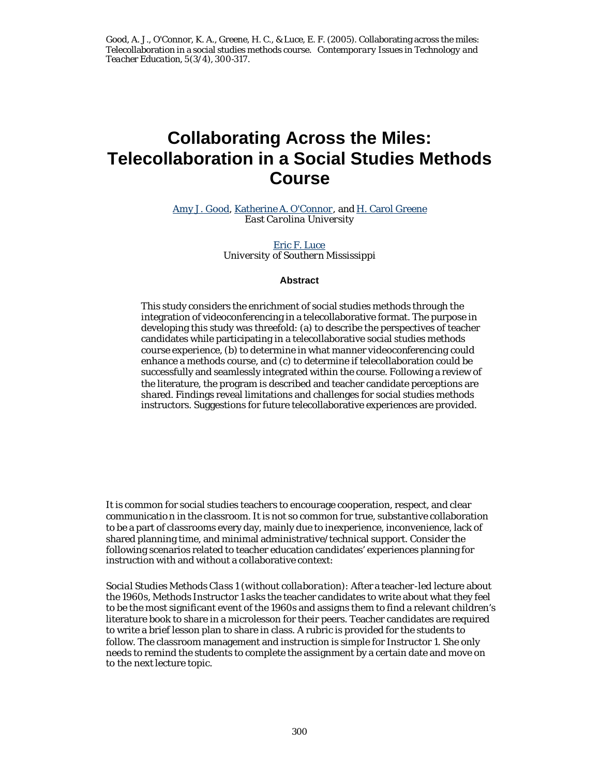# **Collaborating Across the Miles: Telecollaboration in a Social Studies Methods Course**

Amy J. Good, Katherine A. O'Connor, and H. Carol Greene *East Carolina University*

> Eric F. Luce *University of Southern Mississippi*

# **Abstract**

This study considers the enrichment of social studies methods through the integration of videoconferencing in a telecollaborative format. The purpose in developing this study was threefold: (a) to describe the perspectives of teacher candidates while participating in a telecollaborative social studies methods course experience, (b) to determine in what manner videoconferencing could enhance a methods course, and (c) to determine if telecollaboration could be successfully and seamlessly integrated within the course. Following a review of the literature, the program is described and teacher candidate perceptions are shared. Findings reveal limitations and challenges for social studies methods instructors. Suggestions for future telecollaborative experiences are provided.

It is common for social studies teachers to encourage cooperation, respect, and clear communicatio n in the classroom. It is not so common for true, substantive collaboration to be a part of classrooms every day, mainly due to inexperience, inconvenience, lack of shared planning time, and minimal administrative/technical support. Consider the following scenarios related to teacher education candidates' experiences planning for instruction with and without a collaborative context:

*Social Studies Methods Class 1 (without collaboration):* After a teacher-led lecture about the 1960s, Methods Instructor 1 asks the teacher candidates to write about what they feel to be the most significant event of the 1960s and assigns them to find a relevant children's literature book to share in a microlesson for their peers. Teacher candidates are required to write a brief lesson plan to share in class. A rubric is provided for the students to follow. The classroom management and instruction is simple for Instructor 1. She only needs to remind the students to complete the assignment by a certain date and move on to the next lecture topic.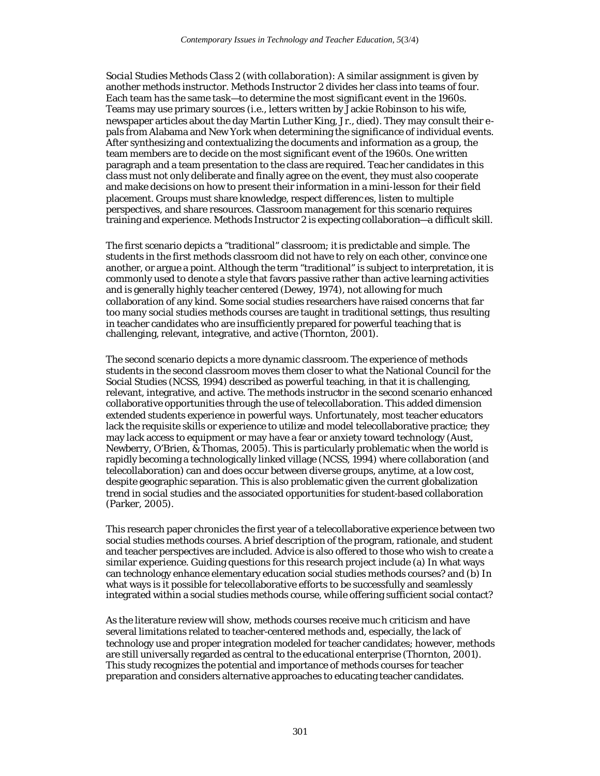*Social Studies Methods Class 2 (with collaboration)*: A similar assignment is given by another methods instructor. Methods Instructor 2 divides her class into teams of four. Each team has the same task—to determine the most significant event in the 1960s. Teams may use primary sources (i.e., letters written by Jackie Robinson to his wife, newspaper articles about the day Martin Luther King, Jr., died). They may consult their epals from Alabama and New York when determining the significance of individual events. After synthesizing and contextualizing the documents and information as a group, the team members are to decide on the most significant event of the 1960s. One written paragraph and a team presentation to the class are required. Teac her candidates in this class must not only deliberate and finally agree on the event, they must also cooperate and make decisions on how to present their information in a mini-lesson for their field placement. Groups must share knowledge, respect differenc es, listen to multiple perspectives, and share resources. Classroom management for this scenario requires training and experience. Methods Instructor 2 is expecting collaboration—a difficult skill.

The first scenario depicts a "traditional" classroom; it is predictable and simple. The students in the first methods classroom did not have to rely on each other, convince one another, or argue a point. Although the term "traditional" is subject to interpretation, it is commonly used to denote a style that favors passive rather than active learning activities and is generally highly teacher centered (Dewey, 1974), not allowing for much collaboration of any kind. Some social studies researchers have raised concerns that far too many social studies methods courses are taught in traditional settings, thus resulting in teacher candidates who are insufficiently prepared for powerful teaching that is challenging, relevant, integrative, and active (Thornton, 2001).

The second scenario depicts a more dynamic classroom. The experience of methods students in the second classroom moves them closer to what the National Council for the Social Studies (NCSS, 1994) described as powerful teaching, in that it is challenging, relevant, integrative, and active. The methods instructor in the second scenario enhanced collaborative opportunities through the use of telecollaboration. This added dimension extended students experience in powerful ways. Unfortunately, most teacher educators lack the requisite skills or experience to utilize and model telecollaborative practice; they may lack access to equipment or may have a fear or anxiety toward technology (Aust, Newberry, O'Brien, & Thomas, 2005). This is particularly problematic when the world is rapidly becoming a technologically linked village (NCSS, 1994) where collaboration (and telecollaboration) can and does occur between diverse groups, anytime, at a low cost, despite geographic separation. This is also problematic given the current globalization trend in social studies and the associated opportunities for student-based collaboration (Parker, 2005).

This research paper chronicles the first year of a telecollaborative experience between two social studies methods courses. A brief description of the program, rationale, and student and teacher perspectives are included. Advice is also offered to those who wish to create a similar experience. Guiding questions for this research project include (a) In what ways can technology enhance elementary education social studies methods courses? and (b) In what ways is it possible for telecollaborative efforts to be successfully and seamlessly integrated within a social studies methods course, while offering sufficient social contact?

As the literature review will show, methods courses receive muc h criticism and have several limitations related to teacher-centered methods and, especially, the lack of technology use and proper integration modeled for teacher candidates; however, methods are still universally regarded as central to the educational enterprise (Thornton, 2001). This study recognizes the potential and importance of methods courses for teacher preparation and considers alternative approaches to educating teacher candidates.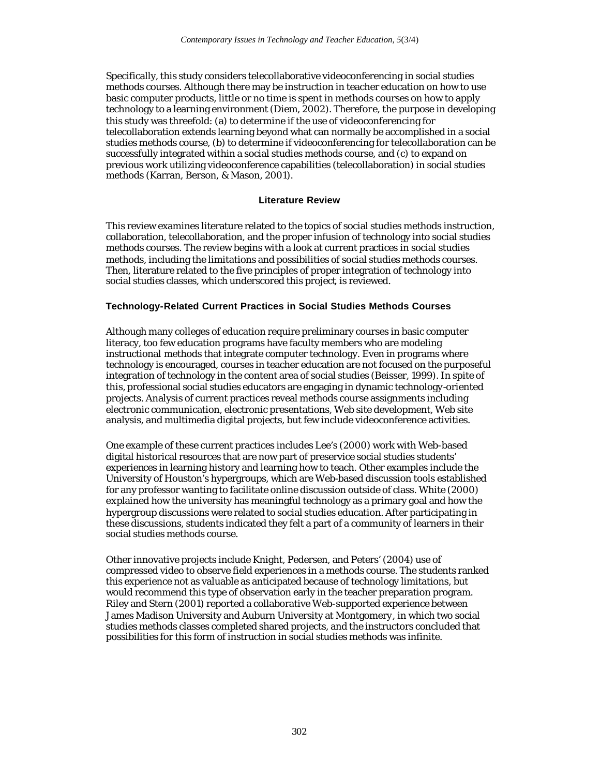Specifically, this study considers telecollaborative videoconferencing in social studies methods courses. Although there may be instruction in teacher education on how to use basic computer products, little or no time is spent in methods courses on how to apply technology to a learning environment (Diem, 2002). Therefore, the purpose in developing this study was threefold: (a) to determine if the use of videoconferencing for telecollaboration extends learning beyond what can normally be accomplished in a social studies methods course, (b) to determine if videoconferencing for telecollaboration can be successfully integrated within a social studies methods course, and (c) to expand on previous work utilizing videoconference capabilities (telecollaboration) in social studies methods (Karran, Berson, & Mason, 2001).

# **Literature Review**

This review examines literature related to the topics of social studies methods instruction, collaboration, telecollaboration, and the proper infusion of technology into social studies methods courses. The review begins with a look at current practices in social studies methods, including the limitations and possibilities of social studies methods courses. Then, literature related to the five principles of proper integration of technology into social studies classes, which underscored this project, is reviewed.

# **Technology-Related Current Practices in Social Studies Methods Courses**

Although many colleges of education require preliminary courses in basic computer literacy, too few education programs have faculty members who are modeling instructional methods that integrate computer technology. Even in programs where technology is encouraged, courses in teacher education are not focused on the purposeful integration of technology in the content area of social studies (Beisser, 1999). In spite of this, professional social studies educators are engaging in dynamic technology-oriented projects. Analysis of current practices reveal methods course assignments including electronic communication, electronic presentations, Web site development, Web site analysis, and multimedia digital projects, but few include videoconference activities.

One example of these current practices includes Lee's (2000) work with Web-based digital historical resources that are now part of preservice social studies students' experiences in learning history and learning how to teach. Other examples include the University of Houston's hypergroups, which are Web-based discussion tools established for any professor wanting to facilitate online discussion outside of class. White (2000) explained how the university has meaningful technology as a primary goal and how the hypergroup discussions were related to social studies education. After participating in these discussions, students indicated they felt a part of a community of learners in their social studies methods course.

Other innovative projects include Knight, Pedersen, and Peters' (2004) use of compressed video to observe field experiences in a methods course. The students ranked this experience not as valuable as anticipated because of technology limitations, but would recommend this type of observation early in the teacher preparation program. Riley and Stern (2001) reported a collaborative Web-supported experience between James Madison University and Auburn University at Montgomery, in which two social studies methods classes completed shared projects, and the instructors concluded that possibilities for this form of instruction in social studies methods was infinite.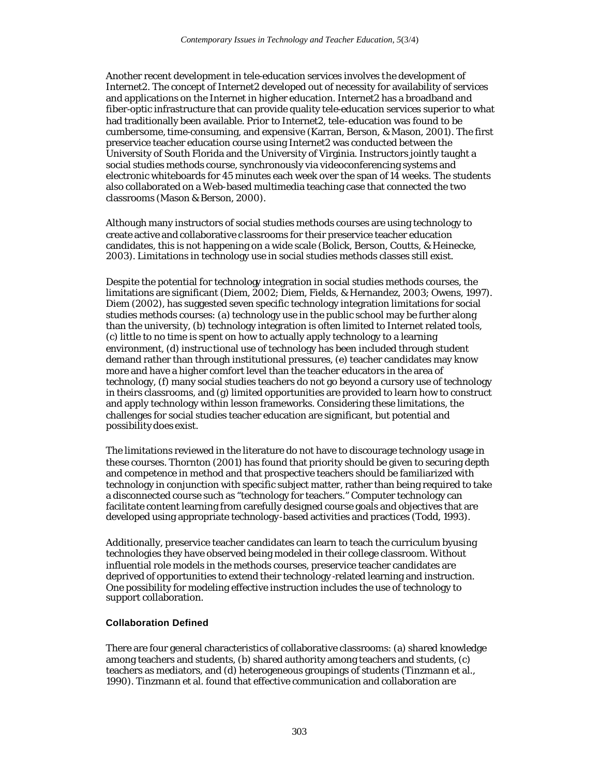Another recent development in tele-education services involves the development of Internet2. The concept of Internet2 developed out of necessity for availability of services and applications on the Internet in higher education. Internet2 has a broadband and fiber-optic infrastructure that can provide quality tele-education services superior to what had traditionally been available. Prior to Internet2, tele-education was found to be cumbersome, time-consuming, and expensive (Karran, Berson, & Mason, 2001). The first preservice teacher education course using Internet2 was conducted between the University of South Florida and the University of Virginia. Instructors jointly taught a social studies methods course, synchronously via videoconferencing systems and electronic whiteboards for 45 minutes each week over the span of 14 weeks. The students also collaborated on a Web-based multimedia teaching case that connected the two classrooms (Mason & Berson, 2000).

Although many instructors of social studies methods courses are using technology to create active and collaborative c lassrooms for their preservice teacher education candidates, this is not happening on a wide scale (Bolick, Berson, Coutts, & Heinecke, 2003). Limitations in technology use in social studies methods classes still exist.

Despite the potential for technology integration in social studies methods courses, the limitations are significant (Diem, 2002; Diem, Fields, & Hernandez, 2003; Owens, 1997). Diem (2002), has suggested seven specific technology integration limitations for social studies methods courses: (a) technology use in the public school may be further along than the university, (b) technology integration is often limited to Internet related tools, (c) little to no time is spent on how to actually apply technology to a learning environment, (d) instruc tional use of technology has been included through student demand rather than through institutional pressures, (e) teacher candidates may know more and have a higher comfort level than the teacher educators in the area of technology, (f) many social studies teachers do not go beyond a cursory use of technology in theirs classrooms, and (g) limited opportunities are provided to learn how to construct and apply technology within lesson frameworks. Considering these limitations, the challenges for social studies teacher education are significant, but potential and possibility does exist.

The limitations reviewed in the literature do not have to discourage technology usage in these courses. Thornton (2001) has found that priority should be given to securing depth and competence in method and that prospective teachers should be familiarized with technology in conjunction with specific subject matter, rather than being required to take a disconnected course such as "technology for teachers." Computer technology can facilitate content learning from carefully designed course goals and objectives that are developed using appropriate technology-based activities and practices (Todd, 1993).

Additionally, preservice teacher candidates can learn to teach the curriculum by using technologies they have observed being modeled in their college classroom. Without influential role models in the methods courses, preservice teacher candidates are deprived of opportunities to extend their technology -related learning and instruction. One possibility for modeling effective instruction includes the use of technology to support collaboration.

#### **Collaboration Defined**

There are four general characteristics of collaborative classrooms: (a) shared knowledge among teachers and students, (b) shared authority among teachers and students, (c) teachers as mediators, and (d) heterogeneous groupings of students (Tinzmann et al., 1990). Tinzmann et al. found that effective communication and collaboration are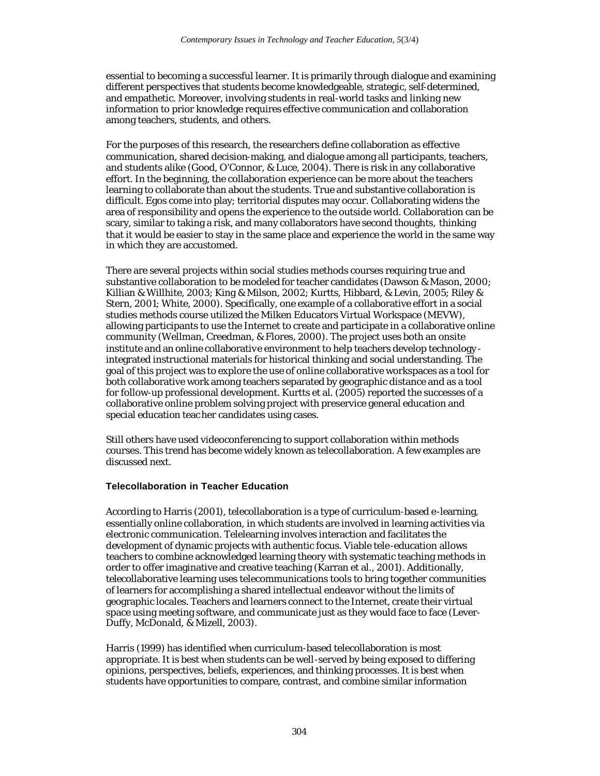essential to becoming a successful learner. It is primarily through dialogue and examining different perspectives that students become knowledgeable, strategic, self-determined, and empathetic. Moreover, involving students in real-world tasks and linking new information to prior knowledge requires effective communication and collaboration among teachers, students, and others.

For the purposes of this research, the researchers define collaboration as effective communication, shared decision-making, and dialogue among all participants, teachers, and students alike (Good, O'Connor, & Luce, 2004). There is risk in any collaborative effort. In the beginning, the collaboration experience can be more about the teachers learning to collaborate than about the students. True and substantive collaboration is difficult. Egos come into play; territorial disputes may occur. Collaborating widens the area of responsibility and opens the experience to the outside world. Collaboration can be scary, similar to taking a risk, and many collaborators have second thoughts, thinking that it would be easier to stay in the same place and experience the world in the same way in which they are accustomed.

There are several projects within social studies methods courses requiring true and substantive collaboration to be modeled for teacher candidates (Dawson & Mason, 2000; Killian & Willhite, 2003; King & Milson, 2002; Kurtts, Hibbard, & Levin, 2005; Riley & Stern, 2001; White, 2000). Specifically, one example of a collaborative effort in a social studies methods course utilized the Milken Educators Virtual Workspace (MEVW), allowing participants to use the Internet to create and participate in a collaborative online community (Wellman, Creedman, & Flores, 2000). The project uses both an onsite institute and an online collaborative environment to help teachers develop technology integrated instructional materials for historical thinking and social understanding. The goal of this project was to explore the use of online collaborative workspaces as a tool for both collaborative work among teachers separated by geographic distance and as a tool for follow-up professional development. Kurtts et al. (2005) reported the successes of a collaborative online problem solving project with preservice general education and special education teac her candidates using cases.

Still others have used videoconferencing to support collaboration within methods courses. This trend has become widely known as telecollaboration. A few examples are discussed next.

# **Telecollaboration in Teacher Education**

According to Harris (2001), telecollaboration is a type of curriculum-based e-learning, essentially online collaboration, in which students are involved in learning activities via electronic communication. Telelearning involves interaction and facilitates the development of dynamic projects with authentic focus. Viable tele-education allows teachers to combine acknowledged learning theory with systematic teaching methods in order to offer imaginative and creative teaching (Karran et al., 2001). Additionally, telecollaborative learning uses telecommunications tools to bring together communities of learners for accomplishing a shared intellectual endeavor without the limits of geographic locales. Teachers and learners connect to the Internet, create their virtual space using meeting software, and communicate just as they would face to face (Lever-Duffy, McDonald, & Mizell, 2003).

Harris (1999) has identified when curriculum-based telecollaboration is most appropriate. It is best when students can be well-served by being exposed to differing opinions, perspectives, beliefs, experiences, and thinking processes. It is best when students have opportunities to compare, contrast, and combine similar information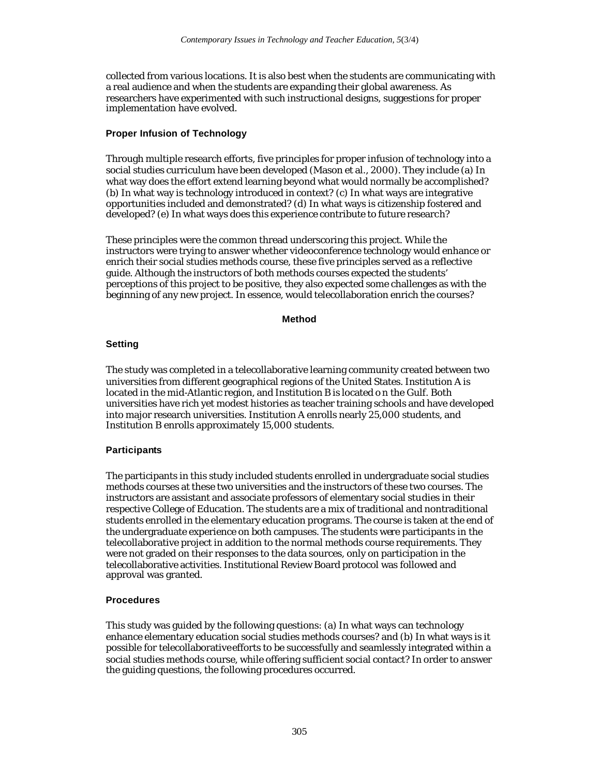collected from various locations. It is also best when the students are communicating with a real audience and when the students are expanding their global awareness. As researchers have experimented with such instructional designs, suggestions for proper implementation have evolved.

# **Proper Infusion of Technology**

Through multiple research efforts, five principles for proper infusion of technology into a social studies curriculum have been developed (Mason et al., 2000). They include (a) In what way does the effort extend learning beyond what would normally be accomplished? (b) In what way is technology introduced in context? (c) In what ways are integrative opportunities included and demonstrated? (d) In what ways is citizenship fostered and developed? (e) In what ways does this experience contribute to future research?

These principles were the common thread underscoring this project. While the instructors were trying to answer whether videoconference technology would enhance or enrich their social studies methods course, these five principles served as a reflective guide. Although the instructors of both methods courses expected the students' perceptions of this project to be positive, they also expected some challenges as with the beginning of any new project. In essence, would telecollaboration enrich the courses?

#### **Method**

# **Setting**

The study was completed in a telecollaborative learning community created between two universities from different geographical regions of the United States. Institution A is located in the mid-Atlantic region, and Institution B is located o n the Gulf. Both universities have rich yet modest histories as teacher training schools and have developed into major research universities. Institution A enrolls nearly 25,000 students, and Institution B enrolls approximately 15,000 students.

# **Participants**

The participants in this study included students enrolled in undergraduate social studies methods courses at these two universities and the instructors of these two courses. The instructors are assistant and associate professors of elementary social studies in their respective College of Education. The students are a mix of traditional and nontraditional students enrolled in the elementary education programs. The course is taken at the end of the undergraduate experience on both campuses. The students were participants in the telecollaborative project in addition to the normal methods course requirements. They were not graded on their responses to the data sources, only on participation in the telecollaborative activities. Institutional Review Board protocol was followed and approval was granted.

#### **Procedures**

This study was guided by the following questions: (a) In what ways can technology enhance elementary education social studies methods courses? and (b) In what ways is it possible for telecollaborative efforts to be successfully and seamlessly integrated within a social studies methods course, while offering sufficient social contact? In order to answer the guiding questions, the following procedures occurred.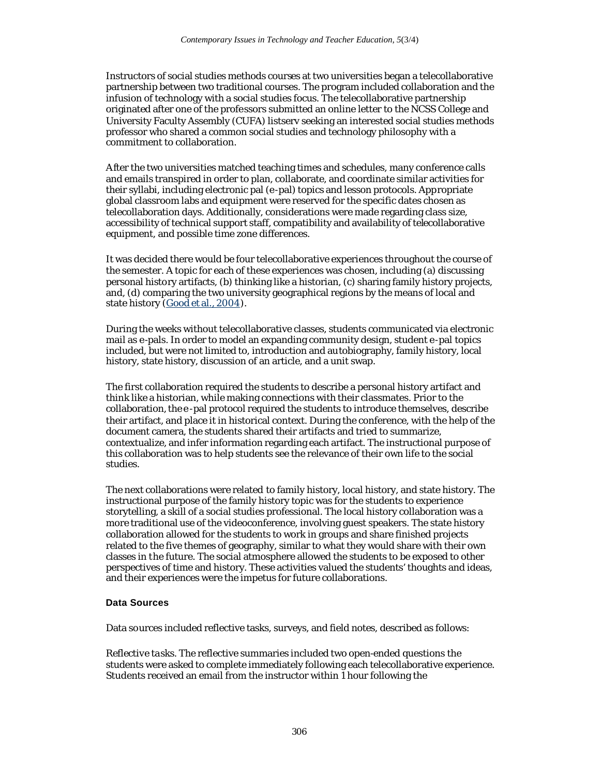Instructors of social studies methods courses at two universities began a telecollaborative partnership between two traditional courses. The program included collaboration and the infusion of technology with a social studies focus. The telecollaborative partnership originated after one of the professors submitted an online letter to the NCSS College and University Faculty Assembly (CUFA) listserv seeking an interested social studies methods professor who shared a common social studies and technology philosophy with a commitment to collaboration.

After the two universities matched teaching times and schedules, many conference calls and emails transpired in order to plan, collaborate, and coordinate similar activities for their syllabi, including electronic pal (e-pal) topics and lesson protocols. Appropriate global classroom labs and equipment were reserved for the specific dates chosen as telecollaboration days. Additionally, considerations were made regarding class size, accessibility of technical support staff, compatibility and availability of telecollaborative equipment, and possible time zone differences.

It was decided there would be four telecollaborative experiences throughout the course of the semester. A topic for each of these experiences was chosen, including (a) discussing personal history artifacts, (b) thinking like a historian, (c) sharing family history projects, and, (d) comparing the two university geographical regions by the means of local and state history (Good et al., 2004).

During the weeks without telecollaborative classes, students communicated via electronic mail as e-pals. In order to model an expanding community design, student e-pal topics included, but were not limited to, introduction and autobiography, family history, local history, state history, discussion of an article, and a unit swap.

The first collaboration required the students to describe a personal history artifact and think like a historian, while making connections with their classmates. Prior to the collaboration, the e -pal protocol required the students to introduce themselves, describe their artifact, and place it in historical context. During the conference, with the help of the document camera, the students shared their artifacts and tried to summarize, contextualize, and infer information regarding each artifact. The instructional purpose of this collaboration was to help students see the relevance of their own life to the social studies.

The next collaborations were related to family history, local history, and state history. The instructional purpose of the family history topic was for the students to experience storytelling, a skill of a social studies professional. The local history collaboration was a more traditional use of the videoconference, involving guest speakers. The state history collaboration allowed for the students to work in groups and share finished projects related to the five themes of geography, similar to what they would share with their own classes in the future. The social atmosphere allowed the students to be exposed to other perspectives of time and history. These activities valued the students' thoughts and ideas, and their experiences were the impetus for future collaborations.

#### **Data Sources**

Data sources included reflective tasks, surveys, and field notes, described as follows:

*Reflective tasks*. The reflective summaries included two open-ended questions the students were asked to complete immediately following each telecollaborative experience. Students received an email from the instructor within 1 hour following the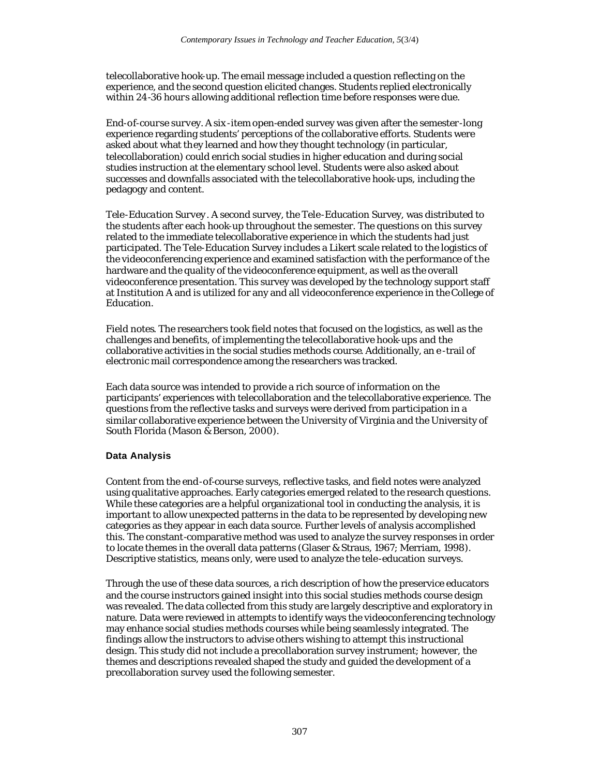telecollaborative hook-up. The email message included a question reflecting on the experience, and the second question elicited changes. Students replied electronically within 24-36 hours allowing additional reflection time before responses were due.

*End-of-course survey*. A six -item open-ended survey was given after the semester-long experience regarding students' perceptions of the collaborative efforts. Students were asked about what they learned and how they thought technology (in particular, telecollaboration) could enrich social studies in higher education and during social studies instruction at the elementary school level. Students were also asked about successes and downfalls associated with the telecollaborative hook-ups, including the pedagogy and content.

*Tele-Education Survey*. A second survey, the Tele-Education Survey, was distributed to the students after each hook-up throughout the semester. The questions on this survey related to the immediate telecollaborative experience in which the students had just participated. The Tele-Education Survey includes a Likert scale related to the logistics of the videoconferencing experience and examined satisfaction with the performance of the hardware and the quality of the videoconference equipment, as well as the overall videoconference presentation. This survey was developed by the technology support staff at Institution A and is utilized for any and all videoconference experience in the College of Education.

*Field notes*. The researchers took field notes that focused on the logistics, as well as the challenges and benefits, of implementing the telecollaborative hook-ups and the collaborative activities in the social studies methods course. Additionally, an e -trail of electronic mail correspondence among the researchers was tracked.

Each data source was intended to provide a rich source of information on the participants' experiences with telecollaboration and the telecollaborative experience. The questions from the reflective tasks and surveys were derived from participation in a similar collaborative experience between the University of Virginia and the University of South Florida (Mason & Berson, 2000).

# **Data Analysis**

Content from the end-of-course surveys, reflective tasks, and field notes were analyzed using qualitative approaches. Early categories emerged related to the research questions. While these categories are a helpful organizational tool in conducting the analysis, it is important to allow unexpected patterns in the data to be represented by developing new categories as they appear in each data source. Further levels of analysis accomplished this. The constant-comparative method was used to analyze the survey responses in order to locate themes in the overall data patterns (Glaser & Straus, 1967; Merriam, 1998). Descriptive statistics, means only, were used to analyze the tele-education surveys.

Through the use of these data sources, a rich description of how the preservice educators and the course instructors gained insight into this social studies methods course design was revealed. The data collected from this study are largely descriptive and exploratory in nature. Data were reviewed in attempts to identify ways the videoconferencing technology may enhance social studies methods courses while being seamlessly integrated. The findings allow the instructors to advise others wishing to attempt this instructional design. This study did not include a precollaboration survey instrument; however, the themes and descriptions revealed shaped the study and guided the development of a precollaboration survey used the following semester.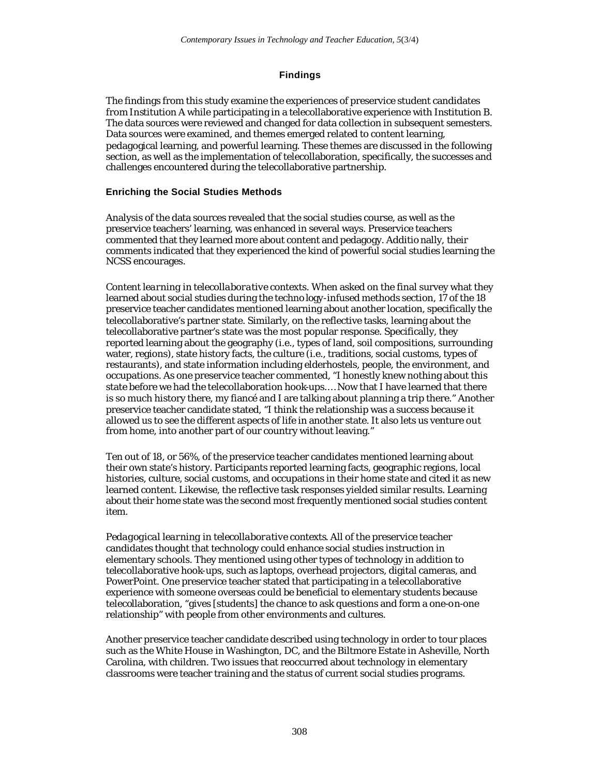# **Findings**

The findings from this study examine the experiences of preservice student candidates from Institution A while participating in a telecollaborative experience with Institution B. The data sources were reviewed and changed for data collection in subsequent semesters. Data sources were examined, and themes emerged related to content learning, pedagogical learning, and powerful learning. These themes are discussed in the following section, as well as the implementation of telecollaboration, specifically, the successes and challenges encountered during the telecollaborative partnership.

# **Enriching the Social Studies Methods**

Analysis of the data sources revealed that the social studies course, as well as the preservice teachers' learning, was enhanced in several ways. Preservice teachers commented that they learned more about content and pedagogy. Additio nally, their comments indicated that they experienced the kind of powerful social studies learning the NCSS encourages.

*Content learning in telecollaborative contexts*. When asked on the final survey what they learned about social studies during the techno logy-infused methods section, 17 of the 18 preservice teacher candidates mentioned learning about another location, specifically the telecollaborative's partner state. Similarly, on the reflective tasks, learning about the telecollaborative partner's state was the most popular response. Specifically, they reported learning about the geography (i.e., types of land, soil compositions, surrounding water, regions), state history facts, the culture (i.e., traditions, social customs, types of restaurants), and state information including elderhostels, people, the environment, and occupations. As one preservice teacher commented, "I honestly knew nothing about this state before we had the telecollaboration hook-ups.… Now that I have learned that there is so much history there, my fiancé and I are talking about planning a trip there." Another preservice teacher candidate stated, "I think the relationship was a success because it allowed us to see the different aspects of life in another state. It also lets us venture out from home, into another part of our country without leaving."

Ten out of 18, or 56%, of the preservice teacher candidates mentioned learning about their own state's history. Participants reported learning facts, geographic regions, local histories, culture, social customs, and occupations in their home state and cited it as new learned content. Likewise, the reflective task responses yielded similar results. Learning about their home state was the second most frequently mentioned social studies content item.

*Pedagogical learning in telecollaborative contexts*. All of the preservice teacher candidates thought that technology could enhance social studies instruction in elementary schools. They mentioned using other types of technology in addition to telecollaborative hook-ups, such as laptops, overhead projectors, digital cameras, and PowerPoint. One preservice teacher stated that participating in a telecollaborative experience with someone overseas could be beneficial to elementary students because telecollaboration, "gives [students] the chance to ask questions and form a one-on-one relationship" with people from other environments and cultures.

Another preservice teacher candidate described using technology in order to tour places such as the White House in Washington, DC, and the Biltmore Estate in Asheville, North Carolina, with children. Two issues that reoccurred about technology in elementary classrooms were teacher training and the status of current social studies programs.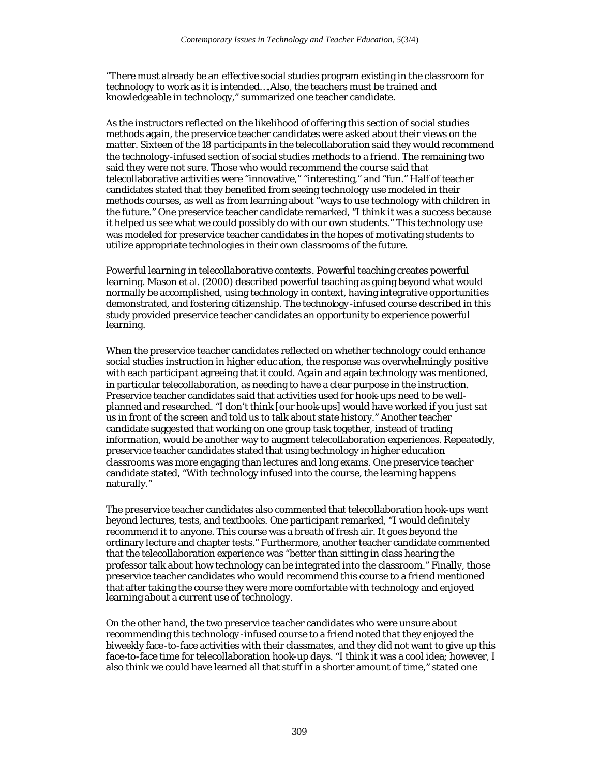"There must already be an effective social studies program existing in the classroom for technology to work as it is intended….Also, the teachers must be trained and knowledgeable in technology," summarized one teacher candidate.

As the instructors reflected on the likelihood of offering this section of social studies methods again, the preservice teacher candidates were asked about their views on the matter. Sixteen of the 18 participants in the telecollaboration said they would recommend the technology-infused section of social studies methods to a friend. The remaining two said they were not sure. Those who would recommend the course said that telecollaborative activities were "innovative," "interesting," and "fun." Half of teacher candidates stated that they benefited from seeing technology use modeled in their methods courses, as well as from learning about "ways to use technology with children in the future." One preservice teacher candidate remarked, "I think it was a success because it helped us see what we could possibly do with our own students." This technology use was modeled for preservice teacher candidates in the hopes of motivating students to utilize appropriate technologies in their own classrooms of the future.

*Powerful learning in telecollaborative contexts*. Powerful teaching creates powerful learning. Mason et al. (2000) described powerful teaching as going beyond what would normally be accomplished, using technology in context, having integrative opportunities demonstrated, and fostering citizenship. The technology -infused course described in this study provided preservice teacher candidates an opportunity to experience powerful learning.

When the preservice teacher candidates reflected on whether technology could enhance social studies instruction in higher educ ation, the response was overwhelmingly positive with each participant agreeing that it could. Again and again technology was mentioned, in particular telecollaboration, as needing to have a clear purpose in the instruction. Preservice teacher candidates said that activities used for hook-ups need to be wellplanned and researched. "I don't think [our hook-ups] would have worked if you just sat us in front of the screen and told us to talk about state history." Another teacher candidate suggested that working on one group task together, instead of trading information, would be another way to augment telecollaboration experiences. Repeatedly, preservice teacher candidates stated that using technology in higher education classrooms was more engaging than lectures and long exams. One preservice teacher candidate stated, "With technology infused into the course, the learning happens naturally."

The preservice teacher candidates also commented that telecollaboration hook-ups went beyond lectures, tests, and textbooks. One participant remarked, "I would definitely recommend it to anyone. This course was a breath of fresh air. It goes beyond the ordinary lecture and chapter tests." Furthermore, another teacher candidate commented that the telecollaboration experience was "better than sitting in class hearing the professor talk about how technology can be integrated into the classroom." Finally, those preservice teacher candidates who would recommend this course to a friend mentioned that after taking the course they were more comfortable with technology and enjoyed learning about a current use of technology.

On the other hand, the two preservice teacher candidates who were unsure about recommending this technology -infused course to a friend noted that they enjoyed the biweekly face-to-face activities with their classmates, and they did not want to give up this face-to-face time for telecollaboration hook-up days. "I think it was a cool idea; however, I also think we could have learned all that stuff in a shorter amount of time," stated one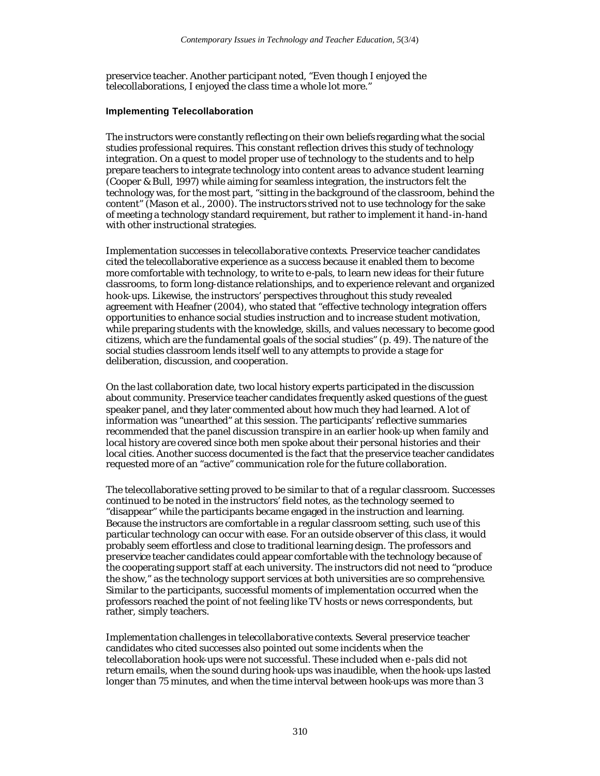preservice teacher. Another participant noted, "Even though I enjoyed the telecollaborations, I enjoyed the class time a whole lot more."

# **Implementing Telecollaboration**

The instructors were constantly reflecting on their own beliefs regarding what the social studies professional requires. This constant reflection drives this study of technology integration. On a quest to model proper use of technology to the students and to help prepare teachers to integrate technology into content areas to advance student learning (Cooper & Bull, 1997) while aiming for seamless integration, the instructors felt the technology was, for the most part, "sitting in the background of the classroom, behind the content" (Mason et al., 2000). The instructors strived not to use technology for the sake of meeting a technology standard requirement, but rather to implement it hand-in-hand with other instructional strategies.

*Implementation successes in telecollaborative contexts*. Preservice teacher candidates cited the telecollaborative experience as a success because it enabled them to become more comfortable with technology, to write to e-pals, to learn new ideas for their future classrooms, to form long-distance relationships, and to experience relevant and organized hook-ups. Likewise, the instructors' perspectives throughout this study revealed agreement with Heafner (2004), who stated that "effective technology integration offers opportunities to enhance social studies instruction and to increase student motivation, while preparing students with the knowledge, skills, and values necessary to become good citizens, which are the fundamental goals of the social studies" (p. 49). The nature of the social studies classroom lends itself well to any attempts to provide a stage for deliberation, discussion, and cooperation.

On the last collaboration date, two local history experts participated in the discussion about community. Preservice teacher candidates frequently asked questions of the guest speaker panel, and they later commented about how much they had learned. A lot of information was "unearthed" at this session. The participants' reflective summaries recommended that the panel discussion transpire in an earlier hook-up when family and local history are covered since both men spoke about their personal histories and their local cities. Another success documented is the fact that the preservice teacher candidates requested more of an "active" communication role for the future collaboration.

The telecollaborative setting proved to be similar to that of a regular classroom. Successes continued to be noted in the instructors' field notes, as the technology seemed to "disappear" while the participants became engaged in the instruction and learning. Because the instructors are comfortable in a regular classroom setting, such use of this particular technology can occur with ease. For an outside observer of this class, it would probably seem effortless and close to traditional learning design. The professors and preservice teacher candidates could appear comfortable with the technology because of the cooperating support staff at each university. The instructors did not need to "produce the show," as the technology support services at both universities are so comprehensive. Similar to the participants, successful moments of implementation occurred when the professors reached the point of not feeling like TV hosts or news correspondents, but rather, simply teachers.

*Implementation challenges in telecollaborative contexts*. Several preservice teacher candidates who cited successes also pointed out some incidents when the telecollaboration hook-ups were not successful. These included when e -pals did not return emails, when the sound during hook-ups was inaudible, when the hook-ups lasted longer than 75 minutes, and when the time interval between hook-ups was more than 3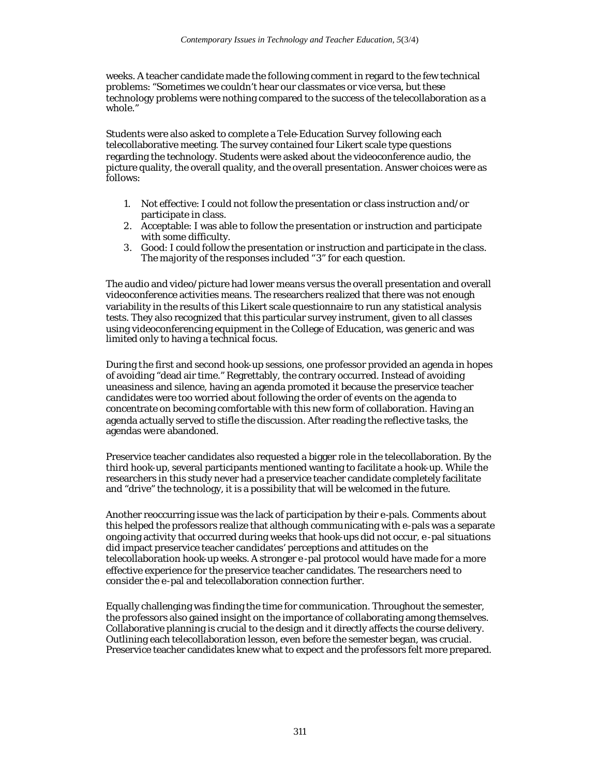weeks. A teacher candidate made the following comment in regard to the few technical problems: "Sometimes we couldn't hear our classmates or vice versa, but these technology problems were nothing compared to the success of the telecollaboration as a whole."

Students were also asked to complete a Tele-Education Survey following each telecollaborative meeting. The survey contained four Likert scale type questions regarding the technology. Students were asked about the videoconference audio, the picture quality, the overall quality, and the overall presentation. Answer choices were as follows:

- 1. Not effective: I could not follow the presentation or class instruction and/or participate in class.
- 2. Acceptable: I was able to follow the presentation or instruction and participate with some difficulty.
- 3. Good: I could follow the presentation or instruction and participate in the class. The majority of the responses included "3" for each question.

The audio and video/picture had lower means versus the overall presentation and overall videoconference activities means. The researchers realized that there was not enough variability in the results of this Likert scale questionnaire to run any statistical analysis tests. They also recognized that this particular survey instrument, given to all classes using videoconferencing equipment in the College of Education, was generic and was limited only to having a technical focus.

During the first and second hook-up sessions, one professor provided an agenda in hopes of avoiding "dead air time." Regrettably, the contrary occurred. Instead of avoiding uneasiness and silence, having an agenda promoted it because the preservice teacher candidates were too worried about following the order of events on the agenda to concentrate on becoming comfortable with this new form of collaboration. Having an agenda actually served to stifle the discussion. After reading the reflective tasks, the agendas were abandoned.

Preservice teacher candidates also requested a bigger role in the telecollaboration. By the third hook-up, several participants mentioned wanting to facilitate a hook-up. While the researchers in this study never had a preservice teacher candidate completely facilitate and "drive" the technology, it is a possibility that will be welcomed in the future.

Another reoccurring issue was the lack of participation by their e-pals. Comments about this helped the professors realize that although communicating with e-pals was a separate ongoing activity that occurred during weeks that hook-ups did not occur, e -pal situations did impact preservice teacher candidates' perceptions and attitudes on the telecollaboration hook-up weeks. A stronger e -pal protocol would have made for a more effective experience for the preservice teacher candidates. The researchers need to consider the e-pal and telecollaboration connection further.

Equally challenging was finding the time for communication. Throughout the semester, the professors also gained insight on the importance of collaborating among themselves. Collaborative planning is crucial to the design and it directly affects the course delivery. Outlining each telecollaboration lesson, even before the semester began, was crucial. Preservice teacher candidates knew what to expect and the professors felt more prepared.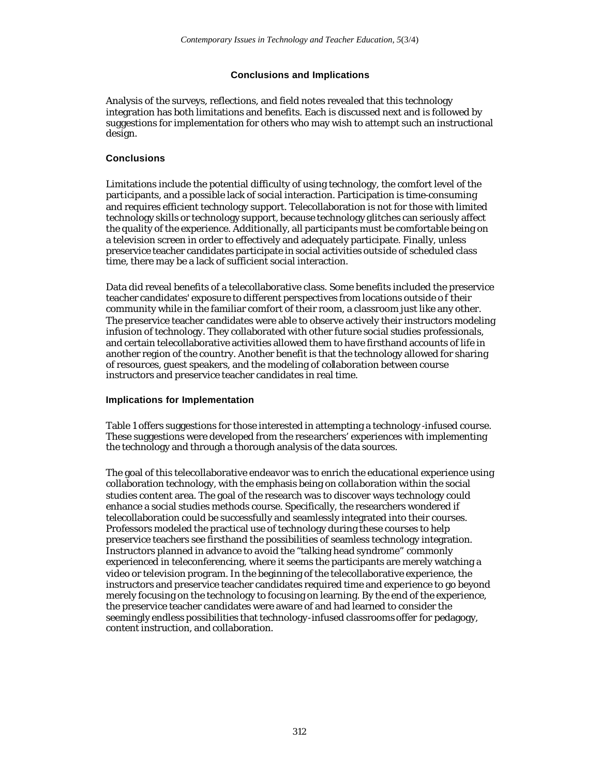# **Conclusions and Implications**

Analysis of the surveys, reflections, and field notes revealed that this technology integration has both limitations and benefits. Each is discussed next and is followed by suggestions for implementation for others who may wish to attempt such an instructional design.

# **Conclusions**

Limitations include the potential difficulty of using technology, the comfort level of the participants, and a possible lack of social interaction. Participation is time-consuming and requires efficient technology support. Telecollaboration is not for those with limited technology skills or technology support, because technology glitches can seriously affect the quality of the experience. Additionally, all participants must be comfortable being on a television screen in order to effectively and adequately participate. Finally, unless preservice teacher candidates participate in social activities outside of scheduled class time, there may be a lack of sufficient social interaction.

Data did reveal benefits of a telecollaborative class. Some benefits included the preservice teacher candidates' exposure to different perspectives from locations outside o f their community while in the familiar comfort of their room, a classroom just like any other. The preservice teacher candidates were able to observe actively their instructors modeling infusion of technology. They collaborated with other future social studies professionals, and certain telecollaborative activities allowed them to have firsthand accounts of life in another region of the country. Another benefit is that the technology allowed for sharing of resources, guest speakers, and the modeling of collaboration between course instructors and preservice teacher candidates in real time.

#### **Implications for Implementation**

Table 1 offers suggestions for those interested in attempting a technology -infused course. These suggestions were developed from the researchers' experiences with implementing the technology and through a thorough analysis of the data sources.

The goal of this telecollaborative endeavor was to enrich the educational experience using collaboration technology, with the emphasis being on collaboration within the social studies content area. The goal of the research was to discover ways technology could enhance a social studies methods course. Specifically, the researchers wondered if telecollaboration could be successfully and seamlessly integrated into their courses. Professors modeled the practical use of technology during these courses to help preservice teachers see firsthand the possibilities of seamless technology integration. Instructors planned in advance to avoid the "talking head syndrome" commonly experienced in teleconferencing, where it seems the participants are merely watching a video or television program. In the beginning of the telecollaborative experience, the instructors and preservice teacher candidates required time and experience to go beyond merely focusing on the technology to focusing on learning. By the end of the experience, the preservice teacher candidates were aware of and had learned to consider the seemingly endless possibilities that technology-infused classrooms offer for pedagogy, content instruction, and collaboration.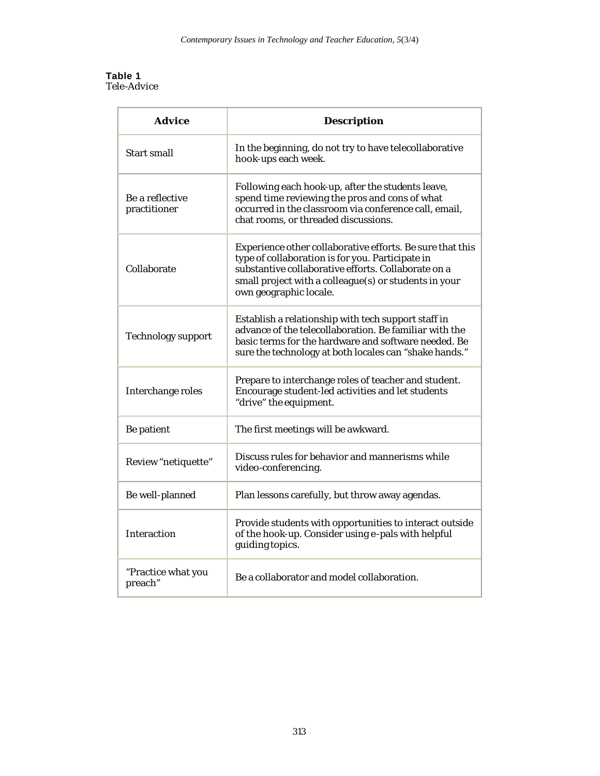#### **Table 1** *Tele-Advice*

| Advice                          | <b>Description</b>                                                                                                                                                                                                                                      |
|---------------------------------|---------------------------------------------------------------------------------------------------------------------------------------------------------------------------------------------------------------------------------------------------------|
| Start small                     | In the beginning, do not try to have telecollaborative<br>hook-ups each week.                                                                                                                                                                           |
| Be a reflective<br>practitioner | Following each hook-up, after the students leave,<br>spend time reviewing the pros and cons of what<br>occurred in the classroom via conference call, email,<br>chat rooms, or threaded discussions.                                                    |
| Collaborate                     | Experience other collaborative efforts. Be sure that this<br>type of collaboration is for you. Participate in<br>substantive collaborative efforts. Collaborate on a<br>small project with a colleague(s) or students in your<br>own geographic locale. |
| <b>Technology support</b>       | Establish a relationship with tech support staff in<br>advance of the telecollaboration. Be familiar with the<br>basic terms for the hardware and software needed. Be<br>sure the technology at both locales can "shake hands."                         |
| Interchange roles               | Prepare to interchange roles of teacher and student.<br>Encourage student-led activities and let students<br>"drive" the equipment.                                                                                                                     |
| Be patient                      | The first meetings will be awkward.                                                                                                                                                                                                                     |
| Review "netiquette"             | Discuss rules for behavior and mannerisms while<br>video-conferencing.                                                                                                                                                                                  |
| Be well-planned                 | Plan lessons carefully, but throw away agendas.                                                                                                                                                                                                         |
| Interaction                     | Provide students with opportunities to interact outside<br>of the hook-up. Consider using e-pals with helpful<br>guiding topics.                                                                                                                        |
| "Practice what you<br>preach"   | Be a collaborator and model collaboration.                                                                                                                                                                                                              |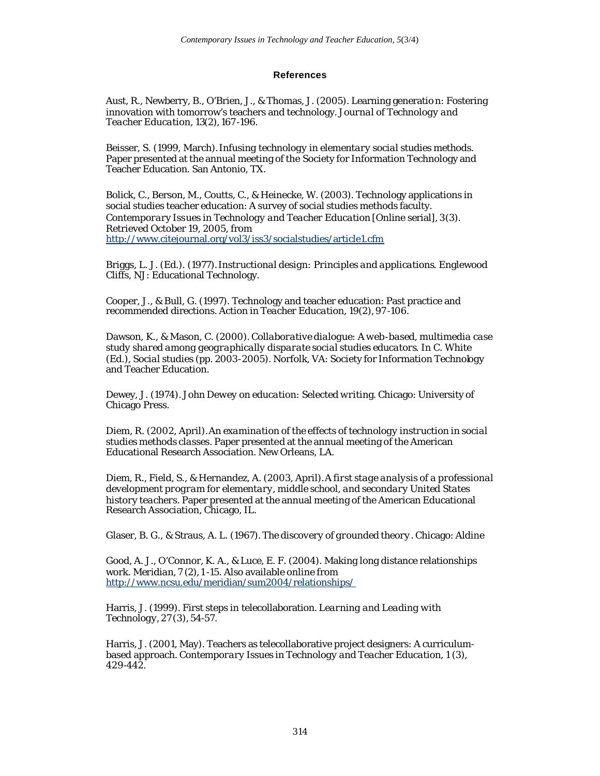# **References**

Aust, R., Newberry, B., O'Brien, J., & Thomas, J. (2005). Learning generatio n: Fostering innovation with tomorrow's teachers and technology. *Journal of Technology and Teacher Education, 13*(2), 167 -196.

Beisser, S. (1999, March). *Infusing technology in elementary social studies methods*. Paper presented at the annual meeting of the Society for Information Technology and Teacher Education. San Antonio, TX.

Bolick, C., Berson, M., Coutts, C., & Heinecke, W. (2003). Technology applications in social studies teacher education: A survey of social studies methods faculty. *Contemporary Issues in Technology and Teacher Education* [Online serial], *3*(3). Retrieved October 19, 2005, from http://www.citejournal.org/vol3/iss3/socialstudies/article1.cfm

Briggs, L. J. (Ed.). (1977). *Instructional design: Principles and applications*. Englewood Cliffs, NJ: Educational Technology.

Cooper, J., & Bull, G. (1997). Technology and teacher education: Past practice and recommended directions. *Action in Teacher Education, 19*(2), 97 -106.

Dawson, K., & Mason, C. (2000). *Collaborative dialogue: A web-based, multimedia case study shared among geographically disparate social studies educators*. In C. White (Ed.), *Social studies* (pp. 2003-2005). Norfolk, VA: Society for Information Technology and Teacher Education.

Dewey, J. (1974). *John Dewey on education: Selected writing*. Chicago: University of Chicago Press.

Diem, R. (2002, April). *An examination of the effects of technology instruction in social studies methods classes*. Paper presented at the annual meeting of the American Educational Research Association. New Orleans, LA.

Diem, R., Field, S., & Hernandez, A. (2003, April). *A first stage analysis of a professional development program for elementary, middle school, and secondary United States history teachers*. Paper presented at the annual meeting of the American Educational Research Association, Chicago, IL.

Glaser, B. G., & Straus, A. L. (1967). *The discovery of grounded theory*. Chicago: Aldine

Good, A. J., O'Connor, K. A., & Luce, E. F. (2004). Making long distance relationships work. *Meridian, 7* (2), 1 -15. Also available online from http://www.ncsu.edu/meridian/sum2004/relationships/

Harris, J. (1999). First steps in telecollaboration. *Learning and Leading with Technology, 27* (3), 54-57.

Harris, J. (2001, May). Teachers as telecollaborative project designers: A curriculumbased approach. *Contemporary Issues in Technology and Teacher Education, 1* (3), 429-442.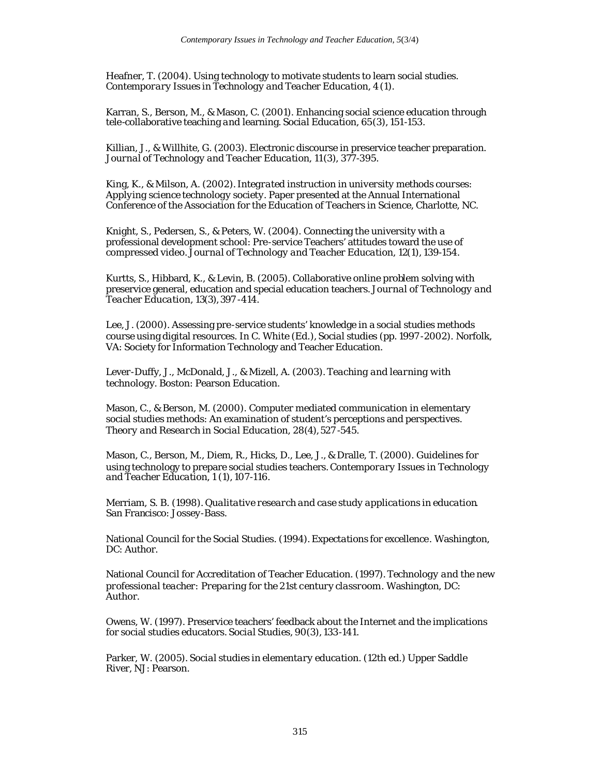Heafner, T. (2004). Using technology to motivate students to learn social studies. *Contemporary Issues in Technology and Teacher Education, 4* (1).

Karran, S., Berson, M., & Mason, C. (2001). Enhancing social science education through tele-collaborative teaching and learning. *Social Education, 65*(3), 151-153.

Killian, J., & Willhite, G. (2003). Electronic discourse in preservice teacher preparation. *Journal of Technology and Teacher Education, 11*(3), 377-395.

King, K., & Milson, A. (2002). *Integrated instruction in university methods courses: Applying science technology society*. Paper presented at the Annual International Conference of the Association for the Education of Teachers in Science, Charlotte, NC.

Knight, S., Pedersen, S., & Peters, W. (2004). Connecting the university with a professional development school: Pre-service Teachers' attitudes toward the use of compressed video. *Journal of Technology and Teacher Education, 12*(1), 139-154.

Kurtts, S., Hibbard, K., & Levin, B. (2005). Collaborative online problem solving with preservice general, education and special education teachers. *Journal of Technology and Teacher Education, 13*(3), 397 -414.

Lee, J. (2000). Assessing pre-service students' knowledge in a social studies methods course using digital resources. In C. White (Ed.), *Social studies* (pp. 1997 -2002). Norfolk, VA: Society for Information Technology and Teacher Education.

Lever-Duffy, J., McDonald, J., & Mizell, A. (2003). *Teaching and learning with technology*. Boston: Pearson Education.

Mason, C., & Berson, M. (2000). Computer mediated communication in elementary social studies methods: An examination of student's perceptions and perspectives. *Theory and Research in Social Education, 28*(4), 527 -545.

Mason, C., Berson, M., Diem, R., Hicks, D., Lee, J., & Dralle, T. (2000). Guidelines for using technology to prepare social studies teachers. *Contemporary Issues in Technology and Teacher Education, 1* (1), 107-116.

Merriam, S. B. (1998). *Qualitative research and case study applications in education*. San Francisco: Jossey-Bass.

National Council for the Social Studies. (1994). *Expectations for excellence*. Washington, DC: Author.

National Council for Accreditation of Teacher Education. (1997). *Technology and the new professional teacher: Preparing for the 21st century classroom*. Washington, DC: Author.

Owens, W. (1997). Preservice teachers' feedback about the Internet and the implications for social studies educators. *Social Studies, 90*(3), 133-141.

Parker, W. (2005). *Social studies in elementary education*. (12th ed.) Upper Saddle River, NJ: Pearson.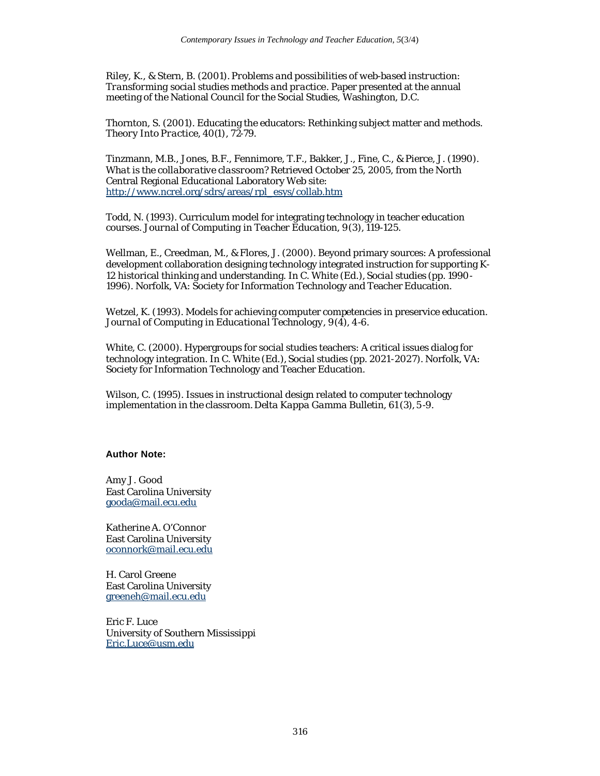Riley, K., & Stern, B. (2001). *Problems and possibilities of web-based instruction: Transforming social studies methods and practice*. Paper presented at the annual meeting of the National Council for the Social Studies, Washington, D.C.

Thornton, S. (2001). Educating the educators: Rethinking subject matter and methods. *Theory Into Practice, 40(*1), 72-79.

Tinzmann, M.B., Jones, B.F., Fennimore, T.F., Bakker, J., Fine, C., & Pierce, J. (1990). *What is the collaborative classroom?* Retrieved October 25, 2005, from the North Central Regional Educational Laboratory Web site: http://www.ncrel.org/sdrs/areas/rpl\_esys/collab.htm

Todd, N. (1993). Curriculum model for integrating technology in teacher education courses. *Journal of Computing in Teacher Education, 9*(3), 119-125.

Wellman, E., Creedman, M., & Flores, J. (2000). Beyond primary sources: A professional development collaboration designing technology integrated instruction for supporting K-12 historical thinking and understanding. In C. White (Ed.), *Social studies* (pp. 1990- 1996). Norfolk, VA: Society for Information Technology and Teacher Education.

Wetzel, K. (1993). Models for achieving computer competencies in preservice education. *Journal of Computing in Educational Technology, 9*(4), 4-6.

White, C. (2000). Hypergroups for social studies teachers: A critical issues dialog for technology integration. In C. White (Ed.), *Social studies* (pp. 2021-2027). Norfolk, VA: Society for Information Technology and Teacher Education.

Wilson, C. (1995). Issues in instructional design related to computer technology implementation in the classroom. *Delta Kappa Gamma Bulletin, 61* (3), 5 -9.

# **Author Note:**

Amy J. Good East Carolina University gooda@mail.ecu.edu

Katherine A. O'Connor East Carolina University oconnork@mail.ecu.edu

H. Carol Greene East Carolina University greeneh@mail.ecu.edu

Eric F. Luce University of Southern Mississippi Eric.Luce@usm.edu